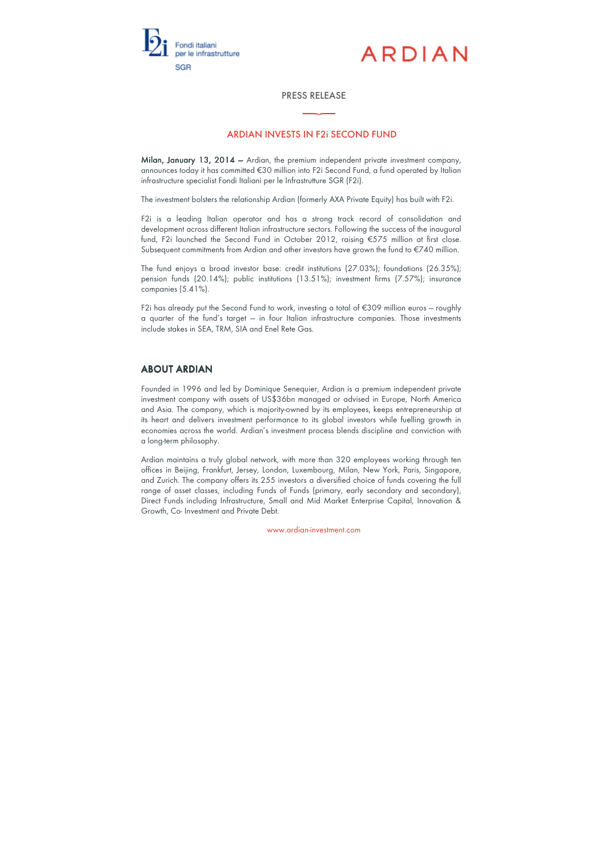



### PRESS RELEASE

## ARDIAN INVESTS IN F2i SECOND FUND

Milan, January 13, 2014 - Ardian, the premium independent private investment company, announces today it has committed €30 million into F2i Second Fund, a fund operated by Italian infrastructure specialist Fondi Italiani per le Infrastrutture SGR (F2i).

The investment bolsters the relationship Ardian (formerly AXA Private Equity) has built with F2i.

F2i is a leading Italian operator and has a strong track record of consolidation and development across different Italian infrastructure sectors. Following the success of the inaugural fund, F2i launched the Second Fund in October 2012, raising €575 million at first close. Subsequent commitments from Ardian and other investors have grown the fund to €740 million.

The fund enjoys a broad investor base: credit institutions (27.03%); foundations (26.35%); pension funds (20.14%); public institutions (13.51%); investment firms (7.57%); insurance companies (5.41%).

F2i has already put the Second Fund to work, investing a total of €309 million euros — roughly a quarter of the fund's target — in four Italian infrastructure companies. Those investments include stakes in SEA, TRM, SIA and Enel Rete Gas.

# ABOUT ARDIAN

Founded in 1996 and led by Dominique Senequier, Ardian is a premium independent private investment company with assets of US\$36bn managed or advised in Europe, North America and Asia. The company, which is majority-owned by its employees, keeps entrepreneurship at its heart and delivers investment performance to its global investors while fuelling growth in economies across the world. Ardian's investment process blends discipline and conviction with a long-term philosophy.

Ardian maintains a truly global network, with more than 320 employees working through ten offices in Beijing, Frankfurt, Jersey, London, Luxembourg, Milan, New York, Paris, Singapore, and Zurich. The company offers its 255 investors a diversified choice of funds covering the full range of asset classes, including Funds of Funds (primary, early secondary and secondary), Direct Funds including Infrastructure, Small and Mid Market Enterprise Capital, Innovation & Growth, Co- Investment and Private Debt.

www.ardian-investment.com